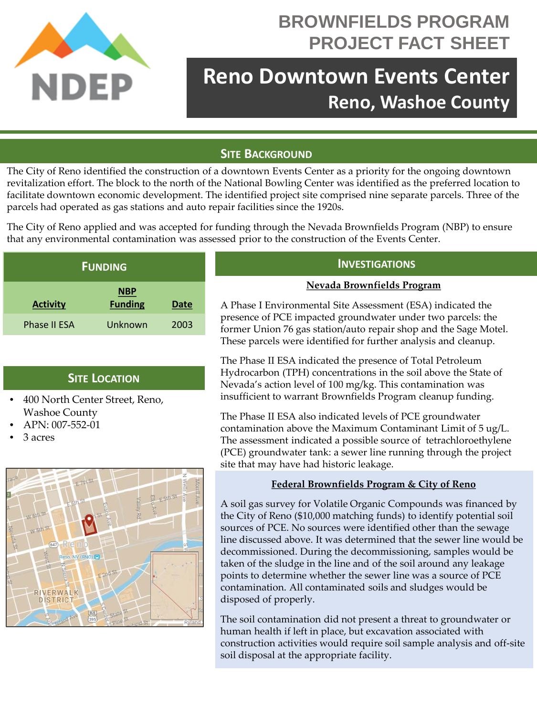

# **BROWNFIELDS PROGRAM PROJECT FACT SHEET**

# **Reno Downtown Events Center Reno, Washoe County**

## **SITE BACKGROUND**

The City of Reno identified the construction of a downtown Events Center as a priority for the ongoing downtown revitalization effort. The block to the north of the National Bowling Center was identified as the preferred location to facilitate downtown economic development. The identified project site comprised nine separate parcels. Three of the parcels had operated as gas stations and auto repair facilities since the 1920s.

The City of Reno applied and was accepted for funding through the Nevada Brownfields Program (NBP) to ensure that any environmental contamination was assessed prior to the construction of the Events Center.

| <b>FUNDING</b>      |                              |      |
|---------------------|------------------------------|------|
| <b>Activity</b>     | <u>NBP</u><br><b>Funding</b> | Date |
| <b>Phase II ESA</b> | Unknown                      | 2003 |

### **SITE LOCATION**

- 400 North Center Street, Reno, Washoe County
- APN: 007-552-01
- 3 acres



### **INVESTIGATIONS**

#### **Nevada Brownfields Program**

A Phase I Environmental Site Assessment (ESA) indicated the presence of PCE impacted groundwater under two parcels: the former Union 76 gas station/auto repair shop and the Sage Motel. These parcels were identified for further analysis and cleanup.

The Phase II ESA indicated the presence of Total Petroleum Hydrocarbon (TPH) concentrations in the soil above the State of Nevada's action level of 100 mg/kg. This contamination was insufficient to warrant Brownfields Program cleanup funding.

The Phase II ESA also indicated levels of PCE groundwater contamination above the Maximum Contaminant Limit of 5 ug/L. The assessment indicated a possible source of tetrachloroethylene (PCE) groundwater tank: a sewer line running through the project site that may have had historic leakage.

#### **Federal Brownfields Program & City of Reno**

A soil gas survey for Volatile Organic Compounds was financed by the City of Reno (\$10,000 matching funds) to identify potential soil sources of PCE. No sources were identified other than the sewage line discussed above. It was determined that the sewer line would be decommissioned. During the decommissioning, samples would be taken of the sludge in the line and of the soil around any leakage points to determine whether the sewer line was a source of PCE contamination. All contaminated soils and sludges would be disposed of properly.

The soil contamination did not present a threat to groundwater or human health if left in place, but excavation associated with construction activities would require soil sample analysis and off-site soil disposal at the appropriate facility.